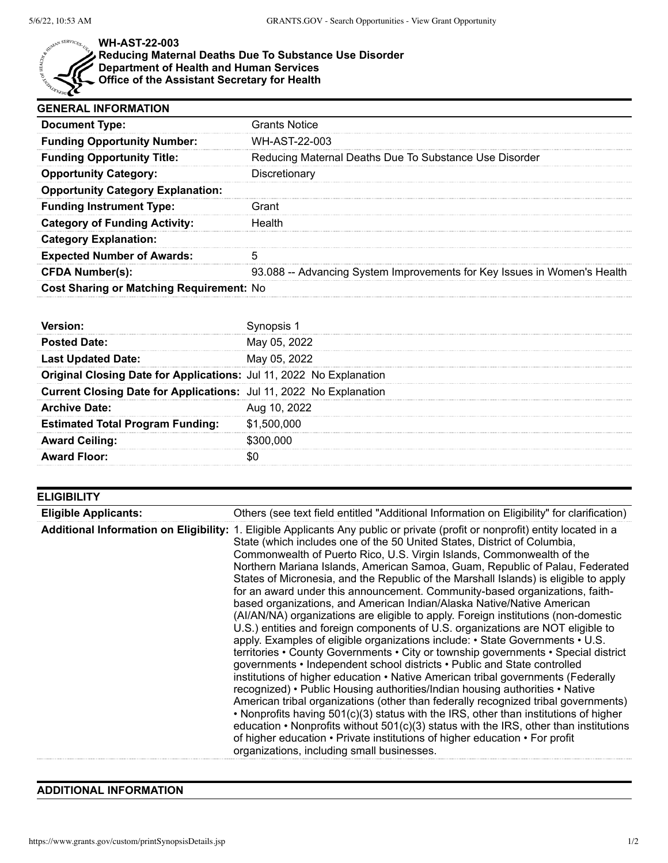

## **WH-AST-22-003**

## **Reducing Maternal Deaths Due To Substance Use Disorder Department of Health and Human Services**

**Office of the Assistant Secretary for Health**

| <b>GENERAL INFORMATION</b>                      |                                                                          |  |
|-------------------------------------------------|--------------------------------------------------------------------------|--|
| <b>Document Type:</b>                           | <b>Grants Notice</b>                                                     |  |
| <b>Funding Opportunity Number:</b>              | WH-AST-22-003                                                            |  |
| <b>Funding Opportunity Title:</b>               | Reducing Maternal Deaths Due To Substance Use Disorder                   |  |
| <b>Opportunity Category:</b>                    | Discretionary                                                            |  |
| <b>Opportunity Category Explanation:</b>        |                                                                          |  |
| <b>Funding Instrument Type:</b>                 | Grant                                                                    |  |
| <b>Category of Funding Activity:</b>            | Health                                                                   |  |
| <b>Category Explanation:</b>                    |                                                                          |  |
| <b>Expected Number of Awards:</b>               |                                                                          |  |
| <b>CFDA Number(s):</b>                          | 93.088 -- Advancing System Improvements for Key Issues in Women's Health |  |
| <b>Cost Sharing or Matching Requirement: No</b> |                                                                          |  |

| <b>Posted Date:</b>                                                 | May 05, 2022 |
|---------------------------------------------------------------------|--------------|
| <b>Last Updated Date:</b>                                           | May 05, 2022 |
| Original Closing Date for Applications: Jul 11, 2022 No Explanation |              |
| Current Closing Date for Applications: Jul 11, 2022 No Explanation  |              |
| <b>Archive Date:</b>                                                | Aug 10, 2022 |
| <b>Estimated Total Program Funding:</b>                             | \$1,500,000  |
| <b>Award Ceiling:</b>                                               | \$300.000    |
| <b>Award Floor:</b>                                                 |              |

| <b>ELIGIBILITY</b>          |                                                                                                                                                                                                                                                                                                                                                                                                                                                                                                                                                                                                                                                                                                                                                                                                                                                                                                                                                                                                                                                                                                                                                                                                                                                                                                                                                                                                                                                                                                                                                                                                                               |
|-----------------------------|-------------------------------------------------------------------------------------------------------------------------------------------------------------------------------------------------------------------------------------------------------------------------------------------------------------------------------------------------------------------------------------------------------------------------------------------------------------------------------------------------------------------------------------------------------------------------------------------------------------------------------------------------------------------------------------------------------------------------------------------------------------------------------------------------------------------------------------------------------------------------------------------------------------------------------------------------------------------------------------------------------------------------------------------------------------------------------------------------------------------------------------------------------------------------------------------------------------------------------------------------------------------------------------------------------------------------------------------------------------------------------------------------------------------------------------------------------------------------------------------------------------------------------------------------------------------------------------------------------------------------------|
| <b>Eligible Applicants:</b> | Others (see text field entitled "Additional Information on Eligibility" for clarification)                                                                                                                                                                                                                                                                                                                                                                                                                                                                                                                                                                                                                                                                                                                                                                                                                                                                                                                                                                                                                                                                                                                                                                                                                                                                                                                                                                                                                                                                                                                                    |
|                             | Additional Information on Eligibility: 1. Eligible Applicants Any public or private (profit or nonprofit) entity located in a<br>State (which includes one of the 50 United States, District of Columbia,<br>Commonwealth of Puerto Rico, U.S. Virgin Islands, Commonwealth of the<br>Northern Mariana Islands, American Samoa, Guam, Republic of Palau, Federated<br>States of Micronesia, and the Republic of the Marshall Islands) is eligible to apply<br>for an award under this announcement. Community-based organizations, faith-<br>based organizations, and American Indian/Alaska Native/Native American<br>(AI/AN/NA) organizations are eligible to apply. Foreign institutions (non-domestic<br>U.S.) entities and foreign components of U.S. organizations are NOT eligible to<br>apply. Examples of eligible organizations include: • State Governments • U.S.<br>territories • County Governments • City or township governments • Special district<br>governments • Independent school districts • Public and State controlled<br>institutions of higher education • Native American tribal governments (Federally<br>recognized) • Public Housing authorities/Indian housing authorities • Native<br>American tribal organizations (other than federally recognized tribal governments)<br>• Nonprofits having 501(c)(3) status with the IRS, other than institutions of higher<br>education $\cdot$ Nonprofits without 501(c)(3) status with the IRS, other than institutions<br>of higher education • Private institutions of higher education • For profit<br>organizations, including small businesses. |

## **ADDITIONAL INFORMATION**